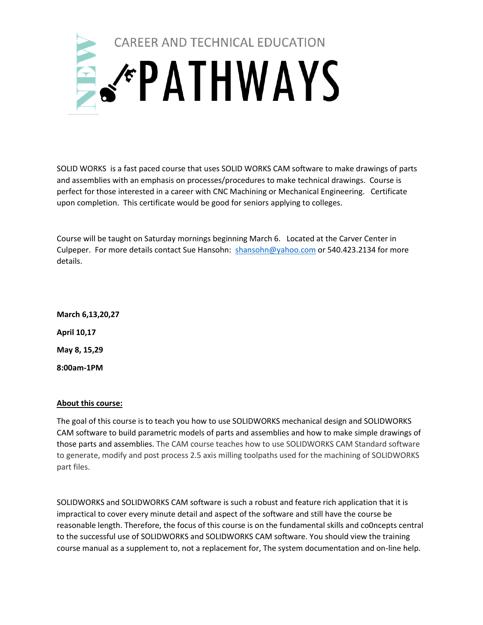

SOLID WORKS is a fast paced course that uses SOLID WORKS CAM software to make drawings of parts and assemblies with an emphasis on processes/procedures to make technical drawings. Course is perfect for those interested in a career with CNC Machining or Mechanical Engineering. Certificate upon completion. This certificate would be good for seniors applying to colleges.

Course will be taught on Saturday mornings beginning March 6. Located at the Carver Center in Culpeper. For more details contact Sue Hansohn: [shansohn@yahoo.com](mailto:shansohn@yahoo.com) or 540.423.2134 for more details.

**March 6,13,20,27 April 10,17 May 8, 15,29 8:00am-1PM**

## **About this course:**

The goal of this course is to teach you how to use SOLIDWORKS mechanical design and SOLIDWORKS CAM software to build parametric models of parts and assemblies and how to make simple drawings of those parts and assemblies. The CAM course teaches how to use SOLIDWORKS CAM Standard software to generate, modify and post process 2.5 axis milling toolpaths used for the machining of SOLIDWORKS part files.

SOLIDWORKS and SOLIDWORKS CAM software is such a robust and feature rich application that it is impractical to cover every minute detail and aspect of the software and still have the course be reasonable length. Therefore, the focus of this course is on the fundamental skills and co0ncepts central to the successful use of SOLIDWORKS and SOLIDWORKS CAM software. You should view the training course manual as a supplement to, not a replacement for, The system documentation and on-line help.